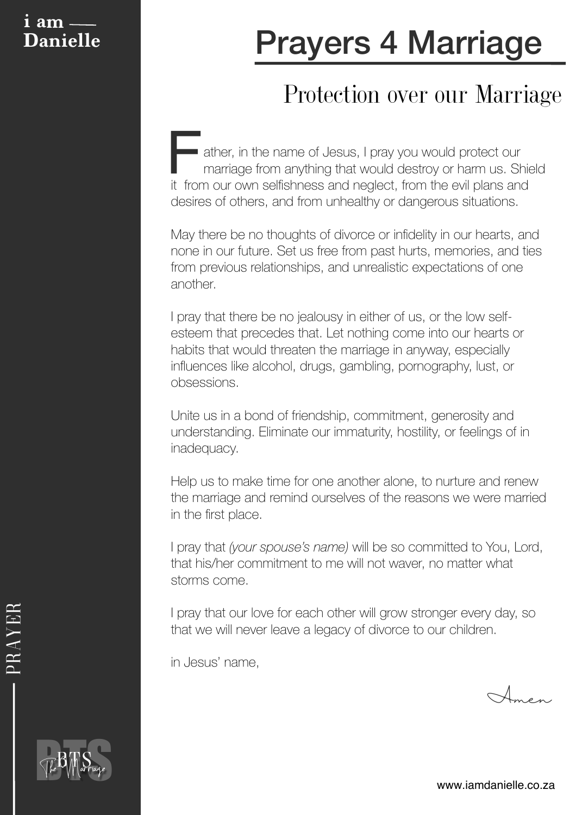### **i am**

# **Danielle Prayers 4 Marriage**

### Protection over our Marriage

**Father, in the name of Jesus, I pray you would protect our** marriage from anything that would destroy or harm us. Shield it from our own selfishness and neglect, from the evil plans and desires of others, and from unhealthy or dangerous situations.

May there be no thoughts of divorce or infidelity in our hearts, and none in our future. Set us free from past hurts, memories, and ties from previous relationships, and unrealistic expectations of one another.

I pray that there be no jealousy in either of us, or the low selfesteem that precedes that. Let nothing come into our hearts or habits that would threaten the marriage in anyway, especially influences like alcohol, drugs, gambling, pornography, lust, or obsessions.

Unite us in a bond of friendship, commitment, generosity and understanding. Eliminate our immaturity, hostility, or feelings of in inadequacy.

Help us to make time for one another alone, to nurture and renew the marriage and remind ourselves of the reasons we were married in the first place.

I pray that *(your spouse's name)* will be so committed to You, Lord, that his/her commitment to me will not waver, no matter what storms come.

I pray that our love for each other will grow stronger every day, so that we will never leave a legacy of divorce to our children.

in Jesus' name,

Amen